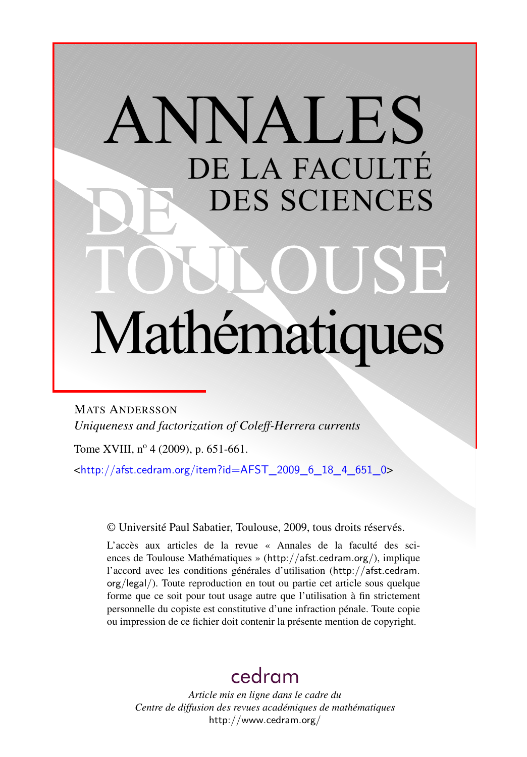# ANNALES DE LA FACULTÉ DES SCIENCES Mathématiques

MATS ANDERSSON *Uniqueness and factorization of Coleff-Herrera currents*

Tome XVIII, nº 4 (2009), p. 651-661.

 $\text{chttp:}/\text{/afst.cedram.org/item?id=AFST}$  2009 6 18 4 651 0>

© Université Paul Sabatier, Toulouse, 2009, tous droits réservés.

L'accès aux articles de la revue « Annales de la faculté des sciences de Toulouse Mathématiques » (<http://afst.cedram.org/>), implique l'accord avec les conditions générales d'utilisation ([http://afst.cedram.](http://afst.cedram.org/legal/) [org/legal/](http://afst.cedram.org/legal/)). Toute reproduction en tout ou partie cet article sous quelque forme que ce soit pour tout usage autre que l'utilisation à fin strictement personnelle du copiste est constitutive d'une infraction pénale. Toute copie ou impression de ce fichier doit contenir la présente mention de copyright.

## [cedram](http://www.cedram.org/)

*Article mis en ligne dans le cadre du Centre de diffusion des revues académiques de mathématiques* <http://www.cedram.org/>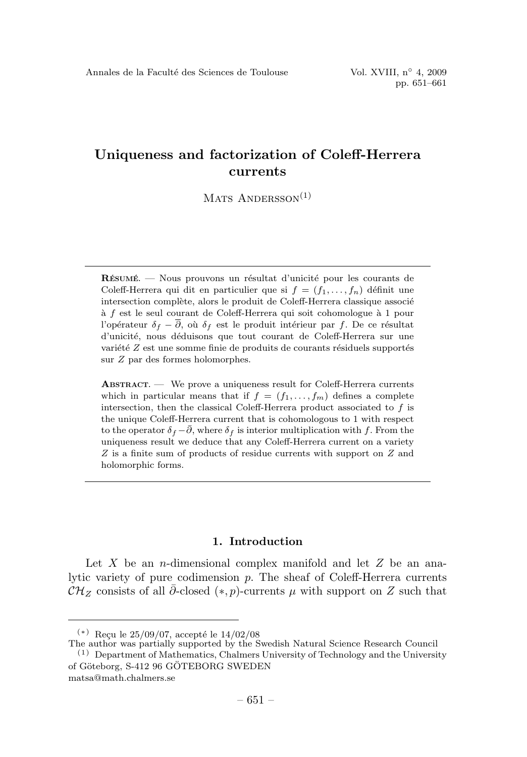$MATS$  ANDERSSON<sup>(1)</sup>

**RESUMÉ**. — Nous prouvons un résultat d'unicité pour les courants de Coleff-Herrera qui dit en particulier que si  $f = (f_1, \ldots, f_n)$  définit une intersection complète, alors le produit de Coleff-Herrera classique associé à  $f$  est le seul courant de Coleff-Herrera qui soit cohomologue à 1 pour l'opérateur  $\delta_f - \overline{\partial}$ , où  $\delta_f$  est le produit intérieur par f. De ce résultat d'unicité, nous déduisons que tout courant de Coleff-Herrera sur une variété  $Z$  est une somme finie de produits de courants résiduels supportés sur Z par des formes holomorphes.

**ABSTRACT.** — We prove a uniqueness result for Coleff-Herrera currents which in particular means that if  $f = (f_1, \ldots, f_m)$  defines a complete intersection, then the classical Coleff-Herrera product associated to  $f$  is the unique Coleff-Herrera current that is cohomologous to 1 with respect to the operator  $\delta_f - \overline{\partial}$ , where  $\delta_f$  is interior multiplication with f. From the uniqueness result we deduce that any Coleff-Herrera current on a variety Z is a finite sum of products of residue currents with support on Z and holomorphic forms.

#### **1. Introduction**

Let X be an *n*-dimensional complex manifold and let  $Z$  be an analytic variety of pure codimension p. The sheaf of Coleff-Herrera currents  $\mathcal{CH}_Z$  consists of all  $\overline{\partial}$ -closed (\*, p)-currents  $\mu$  with support on Z such that

The author was partially supported by the Swedish Natural Science Research Council

 $(*)$  Reçu le 25/09/07, accepté le 14/02/08

<sup>(1)</sup> Department of Mathematics, Chalmers University of Technology and the University of Göteborg, S-412 96 GÖTEBORG SWEDEN matsa@math.chalmers.se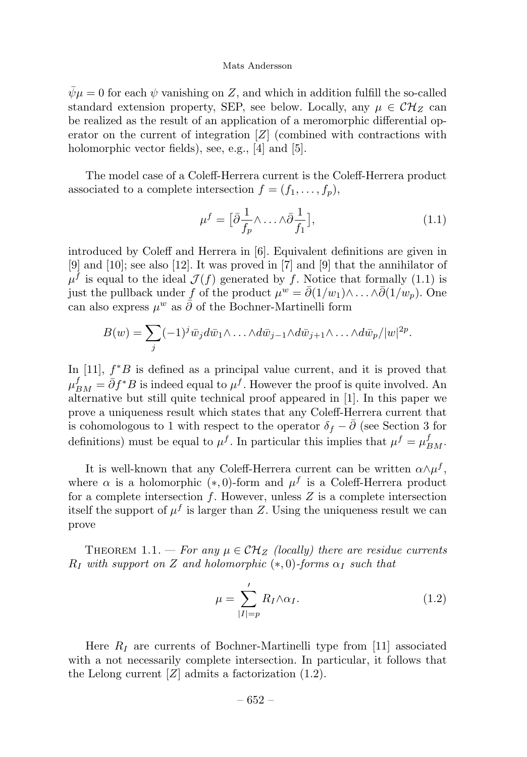$\bar{\psi}\mu = 0$  for each  $\psi$  vanishing on Z, and which in addition fulfill the so-called standard extension property, SEP, see below. Locally, any  $\mu \in \mathcal{CH}_Z$  can be realized as the result of an application of a meromorphic differential operator on the current of integration  $[Z]$  (combined with contractions with holomorphic vector fields), see, e.g., [4] and [5].

The model case of a Coleff-Herrera current is the Coleff-Herrera product associated to a complete intersection  $f = (f_1, \ldots, f_n)$ ,

$$
\mu^f = \left[\bar{\partial} \frac{1}{f_p} \wedge \ldots \wedge \bar{\partial} \frac{1}{f_1}\right],\tag{1.1}
$$

introduced by Coleff and Herrera in [6]. Equivalent definitions are given in [9] and [10]; see also [12]. It was proved in [7] and [9] that the annihilator of  $\mu^f$  is equal to the ideal  $\mathcal{J}(f)$  generated by f. Notice that formally (1.1) is just the pullback under f of the product  $\mu^w = \overline{\partial}(1/w_1) \wedge \ldots \wedge \overline{\partial}(1/w_p)$ . One can also express  $\mu^w$  as  $\bar{\partial}$  of the Bochner-Martinelli form

$$
B(w) = \sum_{j} (-1)^{j} \bar{w}_j d\bar{w}_1 \wedge \ldots \wedge d\bar{w}_{j-1} \wedge d\bar{w}_{j+1} \wedge \ldots \wedge d\bar{w}_p / |w|^{2p}.
$$

In [11],  $f^*B$  is defined as a principal value current, and it is proved that  $\mu_{BM}^f = \bar{\partial} f^*B$  is indeed equal to  $\mu^f$ . However the proof is quite involved. An alternative but still quite technical proof appeared in [1]. In this paper we prove a uniqueness result which states that any Coleff-Herrera current that is cohomologous to 1 with respect to the operator  $\delta_f - \overline{\partial}$  (see Section 3 for definitions) must be equal to  $\mu^f$ . In particular this implies that  $\mu^f = \mu_{BM}^f$ .

It is well-known that any Coleff-Herrera current can be written  $\alpha \wedge \mu^f$ , where  $\alpha$  is a holomorphic (\*,0)-form and  $\mu^f$  is a Coleff-Herrera product for a complete intersection  $f$ . However, unless  $Z$  is a complete intersection itself the support of  $\mu^f$  is larger than Z. Using the uniqueness result we can prove

THEOREM 1.1. — For any  $\mu \in \mathcal{CH}_Z$  (locally) there are residue currents  $R_I$  with support on Z and holomorphic  $(*, 0)$ -forms  $\alpha_I$  such that

$$
\mu = \sum_{|I|=p}^{\prime} R_I \wedge \alpha_I. \tag{1.2}
$$

Here  $R_I$  are currents of Bochner-Martinelli type from [11] associated with a not necessarily complete intersection. In particular, it follows that the Lelong current  $[Z]$  admits a factorization  $(1.2)$ .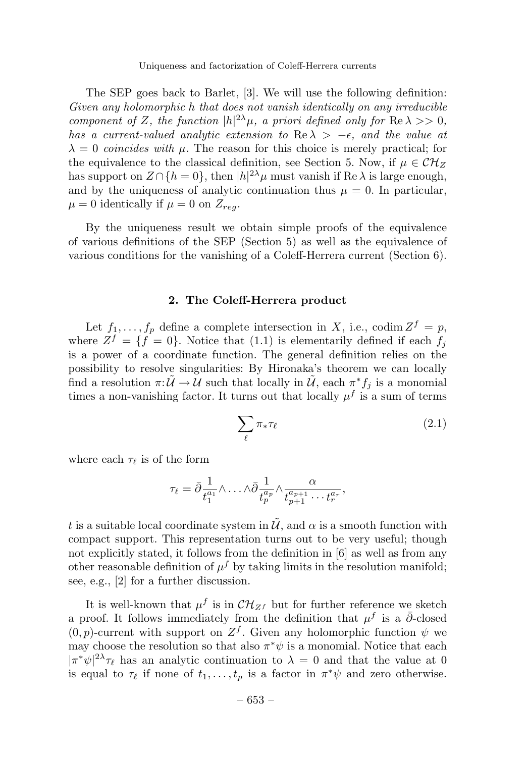The SEP goes back to Barlet, [3]. We will use the following definition: Given any holomorphic h that does not vanish identically on any irreducible component of Z, the function  $|h|^{2\lambda}\mu$ , a priori defined only for  $\text{Re }\lambda >> 0$ , has a current-valued analytic extension to Re  $\lambda > -\epsilon$ , and the value at  $\lambda = 0$  coincides with  $\mu$ . The reason for this choice is merely practical; for the equivalence to the classical definition, see Section 5. Now, if  $\mu \in \mathcal{CH}_{Z}$ has support on  $Z \cap \{h=0\}$ , then  $|h|^{2\lambda} \mu$  must vanish if Re  $\lambda$  is large enough, and by the uniqueness of analytic continuation thus  $\mu = 0$ . In particular,  $\mu = 0$  identically if  $\mu = 0$  on  $Z_{reg}$ .

By the uniqueness result we obtain simple proofs of the equivalence of various definitions of the SEP (Section 5) as well as the equivalence of various conditions for the vanishing of a Coleff-Herrera current (Section 6).

#### **2. The Coleff-Herrera product**

Let  $f_1, \ldots, f_p$  define a complete intersection in X, i.e., codim  $Z^f = p$ , where  $Z^f = \{f = 0\}$ . Notice that (1.1) is elementarily defined if each  $f_i$ is a power of a coordinate function. The general definition relies on the possibility to resolve singularities: By Hironaka's theorem we can locally find a resolution  $\pi: \tilde{U} \to U$  such that locally in  $\tilde{U}$ , each  $\pi^* f_j$  is a monomial times a non-vanishing factor. It turns out that locally  $\mu^f$  is a sum of terms

$$
\sum_{\ell} \pi_{*} \tau_{\ell} \tag{2.1}
$$

where each  $\tau_{\ell}$  is of the form

$$
\tau_{\ell} = \bar{\partial} \frac{1}{t_1^{a_1}} \wedge \ldots \wedge \bar{\partial} \frac{1}{t_p^{a_p}} \wedge \frac{\alpha}{t_{p+1}^{a_{p+1}} \cdots t_r^{a_r}},
$$

t is a suitable local coordinate system in  $\tilde{\mathcal{U}}$ , and  $\alpha$  is a smooth function with compact support. This representation turns out to be very useful; though not explicitly stated, it follows from the definition in [6] as well as from any other reasonable definition of  $\mu^f$  by taking limits in the resolution manifold; see, e.g., [2] for a further discussion.

It is well-known that  $\mu^f$  is in  $\mathcal{CH}_{Zf}$  but for further reference we sketch a proof. It follows immediately from the definition that  $\mu^f$  is a  $\bar{\partial}$ -closed  $(0, p)$ -current with support on  $Z<sup>f</sup>$ . Given any holomorphic function  $\psi$  we may choose the resolution so that also  $\pi^*\psi$  is a monomial. Notice that each  $|\pi^* \psi|^{2\lambda} \tau_\ell$  has an analytic continuation to  $\lambda = 0$  and that the value at 0 is equal to  $\tau_{\ell}$  if none of  $t_1,\ldots,t_p$  is a factor in  $\pi^*\psi$  and zero otherwise.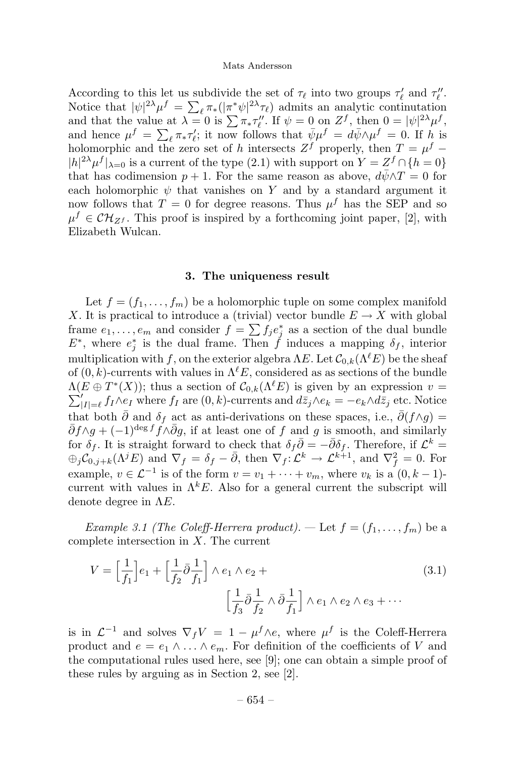According to this let us subdivide the set of  $\tau_{\ell}$  into two groups  $\tau'_{\ell}$  and  $\tau''_{\ell}$ . Notice that  $|\psi|^{2\lambda} \mu^f = \sum_{\ell} \pi_* (|\pi^* \psi|^{2\lambda} \tau_{\ell})$  admits an analytic continutation and that the value at  $\lambda = 0$  is  $\sum \pi_* \tau''_l$ . If  $\psi = 0$  on  $Z^f$ , then  $0 = |\psi|^2 \mu^f$ , and hence  $\mu^f = \sum_{\ell} \pi_{\ast} \tau'_{\ell}$ ; it now follows that  $\bar{\psi} \mu^f = d\bar{\psi} \wedge \mu^f = 0$ . If h is holomorphic and the zero set of h intersects  $Z^f$  properly, then  $T = \mu^f$  –  $|h|^{2\lambda}\mu^{f}|_{\lambda=0}$  is a current of the type (2.1) with support on  $Y = Z^{f} \cap \{h=0\}$ that has codimension  $p + 1$ . For the same reason as above,  $d\bar{\psi} \wedge T = 0$  for each holomorphic  $\psi$  that vanishes on Y and by a standard argument it now follows that  $T = 0$  for degree reasons. Thus  $\mu<sup>f</sup>$  has the SEP and so  $\mu^f \in \mathcal{CH}_{Z^f}$ . This proof is inspired by a forthcoming joint paper, [2], with Elizabeth Wulcan.

#### **3. The uniqueness result**

Let  $f = (f_1, \ldots, f_m)$  be a holomorphic tuple on some complex manifold X. It is practical to introduce a (trivial) vector bundle  $E \to X$  with global frame  $e_1, \ldots, e_m$  and consider  $f = \sum f_j e_j^*$  as a section of the dual bundle  $E^*$ , where  $e_j^*$  is the dual frame. Then f induces a mapping  $\delta_f$ , interior multiplication with f, on the exterior algebra  $\Lambda E$ . Let  $\mathcal{C}_{0,k}(\Lambda^{\ell}E)$  be the sheaf of  $(0, k)$ -currents with values in  $\Lambda^{\ell} E$ , considered as as sections of the bundle  $\Lambda(E \oplus T^*(X));$  thus a section of  $\mathcal{C}_{0,k}(\Lambda^{\ell}E)$  is given by an expression  $v =$  $\sum'_{|I|=\ell} f_I \wedge e_I$  where  $f_I$  are  $(0, k)$ -currents and  $d\bar{z}_j \wedge e_k = -e_k \wedge d\bar{z}_j$  etc. Notice that both  $\bar{\partial}$  and  $\delta_f$  act as anti-derivations on these spaces, i.e.,  $\bar{\partial}(f \wedge g) =$  $\bar{\partial}f \wedge g + (-1)^{\deg f} f \wedge \bar{\partial}g$ , if at least one of f and g is smooth, and similarly for  $\delta_f$ . It is straight forward to check that  $\delta_f \overline{\partial} = -\overline{\partial} \delta_f$ . Therefore, if  $\mathcal{L}^k =$  $\bigoplus_j \mathcal{C}_{0,j+k}(\Lambda^j E)$  and  $\nabla_f = \delta_f - \bar{\partial}$ , then  $\nabla_f : \mathcal{L}^k \to \mathcal{L}^{k+1}$ , and  $\nabla_f^2 = 0$ . For example,  $v \in \mathcal{L}^{-1}$  is of the form  $v = v_1 + \cdots + v_m$ , where  $v_k$  is a  $(0, k - 1)$ current with values in  $\Lambda^k E$ . Also for a general current the subscript will denote degree in  $\Lambda E$ .

*Example 3.1 (The Coleff-Herrera product).* — Let  $f = (f_1, \ldots, f_m)$  be a complete intersection in X. The current

$$
V = \left[\frac{1}{f_1}\right]e_1 + \left[\frac{1}{f_2}\bar{\partial}\frac{1}{f_1}\right] \wedge e_1 \wedge e_2 + \left[\frac{1}{f_3}\bar{\partial}\frac{1}{f_2} \wedge \bar{\partial}\frac{1}{f_1}\right] \wedge e_1 \wedge e_2 \wedge e_3 + \cdots
$$
\n(3.1)

is in  $\mathcal{L}^{-1}$  and solves  $\nabla_f V = 1 - \mu^f \wedge e$ , where  $\mu^f$  is the Coleff-Herrera product and  $e = e_1 \wedge \ldots \wedge e_m$ . For definition of the coefficients of V and the computational rules used here, see [9]; one can obtain a simple proof of these rules by arguing as in Section 2, see [2].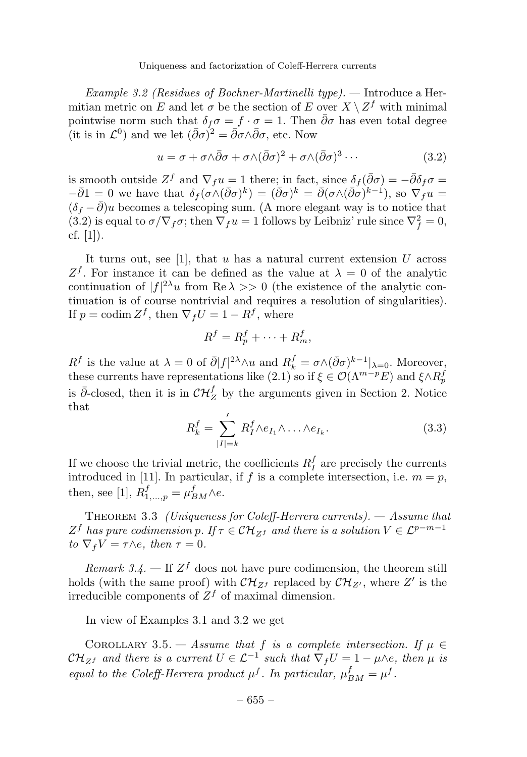Example 3.2 (Residues of Bochner-Martinelli type). — Introduce a Hermitian metric on E and let  $\sigma$  be the section of E over  $X \setminus Z^f$  with minimal pointwise norm such that  $\delta_f \sigma = f \cdot \sigma = 1$ . Then  $\bar{\partial} \sigma$  has even total degree (it is in  $\mathcal{L}^0$ ) and we let  $({\bar \partial}\sigma)^2 = {\bar \partial}\sigma \wedge {\bar \partial}\sigma$ , etc. Now

$$
u = \sigma + \sigma \wedge \bar{\partial}\sigma + \sigma \wedge (\bar{\partial}\sigma)^2 + \sigma \wedge (\bar{\partial}\sigma)^3 \cdots
$$
 (3.2)

is smooth outside  $Z^f$  and  $\nabla_f u = 1$  there; in fact, since  $\delta_f(\bar{\partial}\sigma) = -\bar{\partial}\delta_f\sigma =$  $-\overline{\partial}1 = 0$  we have that  $\delta_f(\sigma \wedge (\overline{\partial}\sigma)^k) = (\overline{\partial}\sigma)^k = \overline{\partial}(\sigma \wedge (\overline{\partial}\sigma)^{k-1}),$  so  $\nabla_f u =$  $(\delta_f - \bar{\partial})u$  becomes a telescoping sum. (A more elegant way is to notice that (3.2) is equal to  $\sigma/\nabla_f \sigma$ ; then  $\nabla_f u = 1$  follows by Leibniz' rule since  $\nabla_f^2 = 0$ , cf. [1]).

It turns out, see [1], that  $u$  has a natural current extension  $U$  across  $Z<sup>f</sup>$ . For instance it can be defined as the value at  $\lambda = 0$  of the analytic continuation of  $|f|^{2\lambda}u$  from Re  $\lambda >> 0$  (the existence of the analytic continuation is of course nontrivial and requires a resolution of singularities). If  $p = \text{codim } Z^f$ , then  $\nabla_f U = 1 - R^f$ , where

$$
R^f = R_p^f + \dots + R_m^f,
$$

 $R^f$  is the value at  $\lambda = 0$  of  $\bar{\partial}|f|^{2\lambda}\wedge u$  and  $R^f_k = \sigma \wedge (\bar{\partial}\sigma)^{k-1}|_{\lambda=0}$ . Moreover, these currents have representations like  $(2.1)$  so if  $\xi \in \mathcal{O}(\Lambda^{m-p}E)$  and  $\xi \wedge R_p^f$ is  $\bar{\partial}$ -closed, then it is in  $\mathcal{CH}^f_Z$  by the arguments given in Section 2. Notice that

$$
R_k^f = \sum_{|I|=k}^{\prime} R_I^f \wedge e_{I_1} \wedge \ldots \wedge e_{I_k}.
$$
 (3.3)

If we choose the trivial metric, the coefficients  $R_I^f$  are precisely the currents introduced in [11]. In particular, if f is a complete intersection, i.e.  $m = p$ , then, see [1],  $R_{1,\dots,p}^f = \mu_{BM}^f \wedge e$ .

THEOREM 3.3 (Uniqueness for Coleff-Herrera currents).  $-$  Assume that  $Z^f$  has pure codimension p. If  $\tau \in \mathcal{CH}_{Z^f}$  and there is a solution  $V \in \mathcal{L}^{p-m-1}$ to  $\nabla_f V = \tau \wedge e$ , then  $\tau = 0$ .

Remark 3.4. – If  $Z^f$  does not have pure codimension, the theorem still holds (with the same proof) with  $\mathcal{CH}_{Z^f}$  replaced by  $\mathcal{CH}_{Z'}$ , where  $Z'$  is the irreducible components of  $Z<sup>f</sup>$  of maximal dimension.

In viewof Examples 3.1 and 3.2 we get

COROLLARY 3.5. — Assume that f is a complete intersection. If  $\mu \in$  $\mathcal{CH}_{Zf}$  and there is a current  $U \in \mathcal{L}^{-1}$  such that  $\nabla_f U = 1 - \mu \wedge e$ , then  $\mu$  is equal to the Coleff-Herrera product  $\mu^f$ . In particular,  $\mu^f_{BM} = \mu^f$ .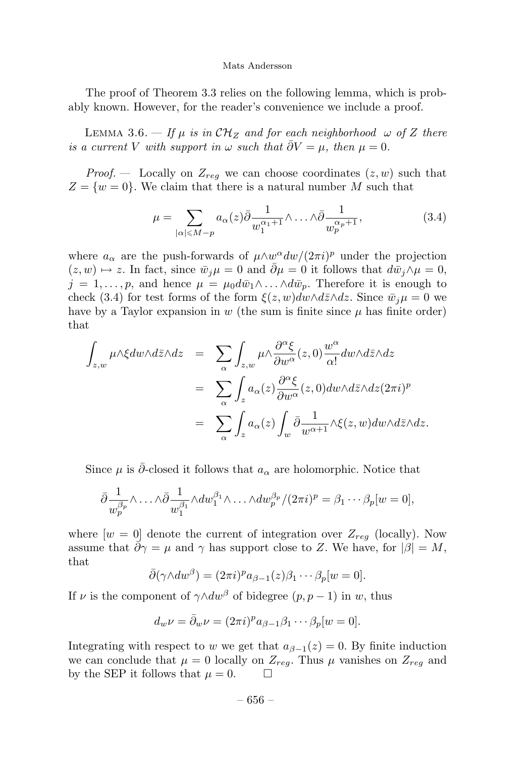The proof of Theorem 3.3 relies on the following lemma, which is probably known. However, for the reader's convenience we include a proof.

LEMMA 3.6. — If  $\mu$  is in  $\mathcal{CH}_Z$  and for each neighborhood  $\omega$  of Z there is a current V with support in  $\omega$  such that  $\overline{\partial}V=\mu$ , then  $\mu=0$ .

*Proof.* – Locally on  $Z_{req}$  we can choose coordinates  $(z, w)$  such that  $Z = \{w = 0\}$ . We claim that there is a natural number M such that

$$
\mu = \sum_{|\alpha| \le M - p} a_{\alpha}(z) \bar{\partial} \frac{1}{w_1^{\alpha_1 + 1}} \wedge \ldots \wedge \bar{\partial} \frac{1}{w_p^{\alpha_p + 1}},
$$
(3.4)

where  $a_{\alpha}$  are the push-forwards of  $\mu \wedge w^{\alpha} dw/(2\pi i)^{p}$  under the projection  $(z, w) \mapsto z$ . In fact, since  $\bar{w}_i \mu = 0$  and  $\bar{\partial} \mu = 0$  it follows that  $d\bar{w}_i \wedge \mu = 0$ ,  $j = 1, \ldots, p$ , and hence  $\mu = \mu_0 d\bar{w}_1 \wedge \ldots \wedge d\bar{w}_p$ . Therefore it is enough to check (3.4) for test forms of the form  $\xi(z, w)dw \wedge d\overline{z} \wedge dz$ . Since  $\overline{w}_i \mu = 0$  we have by a Taylor expansion in  $w$  (the sum is finite since  $\mu$  has finite order) that

$$
\int_{z,w} \mu \wedge \xi dw \wedge d\bar{z} \wedge dz = \sum_{\alpha} \int_{z,w} \mu \wedge \frac{\partial^{\alpha} \xi}{\partial w^{\alpha}}(z,0) \frac{w^{\alpha}}{\alpha!} dw \wedge d\bar{z} \wedge dz
$$

$$
= \sum_{\alpha} \int_{z} a_{\alpha}(z) \frac{\partial^{\alpha} \xi}{\partial w^{\alpha}}(z,0) dw \wedge d\bar{z} \wedge dz (2\pi i)^{p}
$$

$$
= \sum_{\alpha} \int_{z} a_{\alpha}(z) \int_{w} \bar{\partial} \frac{1}{w^{\alpha+1}} \wedge \xi(z,w) dw \wedge d\bar{z} \wedge dz.
$$

Since  $\mu$  is ∂-closed it follows that  $a_{\alpha}$  are holomorphic. Notice that

$$
\bar{\partial} \frac{1}{w_p^{\beta_p}} \wedge \ldots \wedge \bar{\partial} \frac{1}{w_1^{\beta_1}} \wedge dw_1^{\beta_1} \wedge \ldots \wedge dw_p^{\beta_p} / (2\pi i)^p = \beta_1 \cdots \beta_p[w=0],
$$

where  $[w = 0]$  denote the current of integration over  $Z_{reg}$  (locally). Now assume that  $\partial \gamma = \mu$  and  $\gamma$  has support close to Z. We have, for  $|\beta| = M$ , that

$$
\bar{\partial}(\gamma \wedge dw^{\beta}) = (2\pi i)^{p} a_{\beta-1}(z)\beta_1 \cdots \beta_p[w=0].
$$

If v is the component of  $\gamma \wedge dw^{\beta}$  of bidegree  $(p, p - 1)$  in w, thus

$$
d_w \nu = \bar{\partial}_w \nu = (2\pi i)^p a_{\beta-1} \beta_1 \cdots \beta_p [w = 0].
$$

Integrating with respect to w we get that  $a_{\beta-1}(z) = 0$ . By finite induction we can conclude that  $\mu = 0$  locally on  $Z_{reg}$ . Thus  $\mu$  vanishes on  $Z_{reg}$  and by the SEP it follows that  $\mu = 0$ .  $\overline{\phantom{a}}$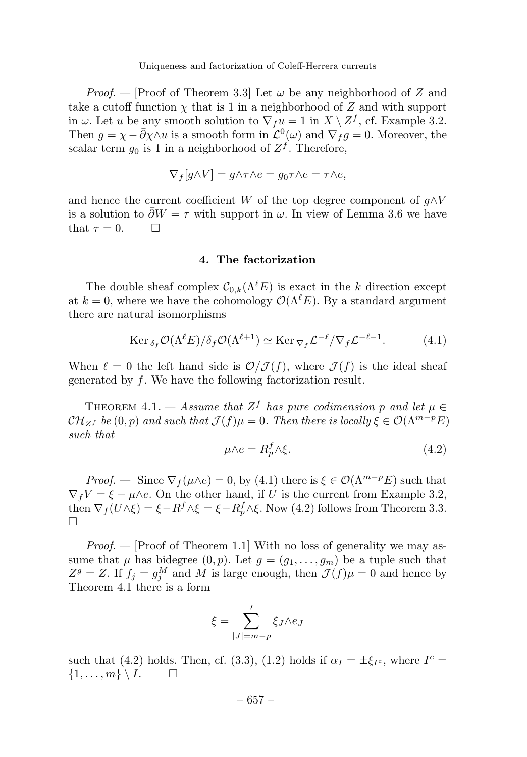*Proof.* — [Proof of Theorem 3.3] Let  $\omega$  be any neighborhood of Z and take a cutoff function  $\chi$  that is 1 in a neighborhood of Z and with support in  $\omega$ . Let u be any smooth solution to  $\nabla_f u = 1$  in  $X \setminus Z^f$ , cf. Example 3.2. Then  $g = \chi - \bar{\partial} \chi \wedge u$  is a smooth form in  $\mathcal{L}^0(\omega)$  and  $\nabla_f g = 0$ . Moreover, the scalar term  $g_0$  is 1 in a neighborhood of  $Z^f$ . Therefore,

$$
\nabla_f[g \wedge V] = g \wedge \tau \wedge e = g_0 \tau \wedge e = \tau \wedge e,
$$

and hence the current coefficient W of the top degree component of  $q \wedge V$ is a solution to  $\partial W = \tau$  with support in  $\omega$ . In view of Lemma 3.6 we have that  $\tau = 0$ .  $\Box$ 

#### **4. The factorization**

The double sheaf complex  $C_{0,k}(\Lambda^{l}E)$  is exact in the k direction except at  $k = 0$ , where we have the cohomology  $\mathcal{O}(\Lambda^{\ell}E)$ . By a standard argument there are natural isomorphisms

$$
\operatorname{Ker} \delta_f \mathcal{O}(\Lambda^{\ell} E) / \delta_f \mathcal{O}(\Lambda^{\ell+1}) \simeq \operatorname{Ker} \nabla_f \mathcal{L}^{-\ell} / \nabla_f \mathcal{L}^{-\ell-1}.
$$
 (4.1)

When  $\ell = 0$  the left hand side is  $\mathcal{O}/\mathcal{J}(f)$ , where  $\mathcal{J}(f)$  is the ideal sheaf generated by f. We have the following factorization result.

THEOREM 4.1. — Assume that  $Z^f$  has pure codimension p and let  $\mu \in$  $\mathcal{CH}_{Z^f}$  be  $(0, p)$  and such that  $\mathcal{J}(f)\mu = 0$ . Then there is locally  $\xi \in \mathcal{O}(\Lambda^{m-p}E)$ such that

$$
\mu \wedge e = R_p^f \wedge \xi. \tag{4.2}
$$

*Proof.* — Since  $\nabla_f(\mu \wedge e) = 0$ , by (4.1) there is  $\xi \in \mathcal{O}(\Lambda^{m-p}E)$  such that  $\nabla_f V = \xi - \mu \wedge e$ . On the other hand, if U is the current from Example 3.2, then  $\nabla_f(U\wedge \xi) = \xi - R^f \wedge \xi = \xi - R^f_p \wedge \xi$ . Now (4.2) follows from Theorem 3.3.  $\Box$ 

*Proof.*  $\left(-\right)$  [Proof of Theorem 1.1] With no loss of generality we may assume that  $\mu$  has bidegree  $(0, p)$ . Let  $g = (g_1, \ldots, g_m)$  be a tuple such that  $Z^g = Z$ . If  $f_j = g_j^M$  and M is large enough, then  $\mathcal{J}(f) \mu = 0$  and hence by Theorem 4.1 there is a form

$$
\xi = \sum_{|J|=m-p}^{\prime} \xi_J \wedge e_J
$$

such that (4.2) holds. Then, cf. (3.3), (1.2) holds if  $\alpha_I = \pm \xi_{I_c}$ , where  $I_c$  $\{1,\ldots,m\} \setminus I.$  $\Box$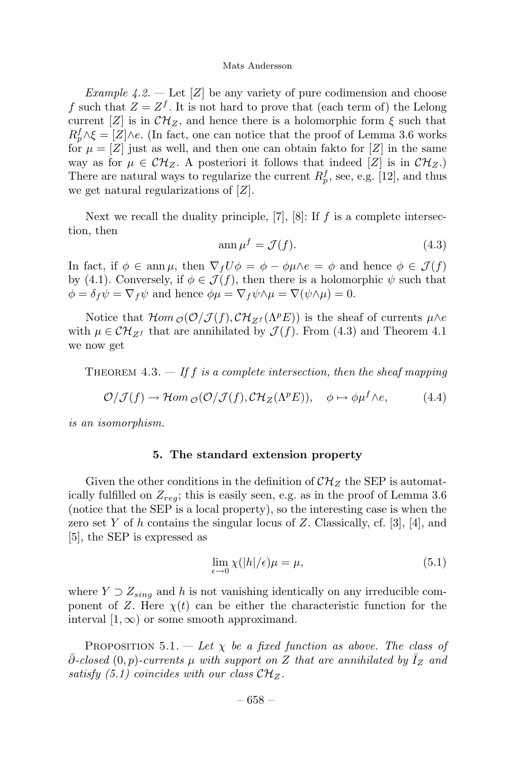Example 4.2. — Let [Z] be any variety of pure codimension and choose f such that  $Z = Z^f$ . It is not hard to prove that (each term of) the Lelong current [Z] is in  $\mathcal{CH}_Z$ , and hence there is a holomorphic form  $\xi$  such that  $R_p^f \wedge \xi = [Z] \wedge e$ . (In fact, one can notice that the proof of Lemma 3.6 works for  $\mu = \mathbb{Z}$  just as well, and then one can obtain fakto for  $\mathbb{Z}$  in the same way as for  $\mu \in \mathcal{CH}_Z$ . A posteriori it follows that indeed [Z] is in  $\mathcal{CH}_Z$ . There are natural ways to regularize the current  $R_p^f$ , see, e.g. [12], and thus we get natural regularizations of  $[Z]$ .

Next we recall the duality principle,  $[7]$ ,  $[8]$ : If f is a complete intersection, then

$$
\operatorname{ann}\mu^f = \mathcal{J}(f). \tag{4.3}
$$

In fact, if  $\phi \in \text{ann }\mu$ , then  $\nabla_f U \phi = \phi - \phi \mu \wedge e = \phi$  and hence  $\phi \in \mathcal{J}(f)$ by (4.1). Conversely, if  $\phi \in \mathcal{J}(f)$ , then there is a holomorphic  $\psi$  such that  $\phi = \delta_f \psi = \nabla_f \psi$  and hence  $\phi \mu = \nabla_f \psi \wedge \mu = \nabla (\psi \wedge \mu) = 0.$ 

Notice that  $\mathcal{H}om_{\mathcal{O}}(\mathcal{O}/\mathcal{J}(f),\mathcal{CH}_{Zf}(\Lambda^p E))$  is the sheaf of currents  $\mu \wedge e$ with  $\mu \in \mathcal{CH}_{Zf}$  that are annihilated by  $\mathcal{J}(f)$ . From (4.3) and Theorem 4.1 we now get

THEOREM 4.3.  $-$  If f is a complete intersection, then the sheaf mapping

$$
\mathcal{O}/\mathcal{J}(f) \to \mathcal{H}om_{\mathcal{O}}(\mathcal{O}/\mathcal{J}(f), \mathcal{CH}_Z(\Lambda^p E)), \quad \phi \mapsto \phi \mu^f \wedge e, \tag{4.4}
$$

is an isomorphism.

#### **5. The standard extension property**

Given the other conditions in the definition of  $\mathcal{CH}_Z$  the SEP is automatically fulfilled on  $Z_{rea}$ ; this is easily seen, e.g. as in the proof of Lemma 3.6 (notice that the SEP is a local property), so the interesting case is when the zero set Y of h contains the singular locus of Z. Classically, cf. [3], [4], and [5], the SEP is expressed as

$$
\lim_{\epsilon \to 0} \chi(|h|/\epsilon)\mu = \mu,\tag{5.1}
$$

where  $Y \supset Z_{sing}$  and h is not vanishing identically on any irreducible component of Z. Here  $\chi(t)$  can be either the characteristic function for the interval  $[1,\infty)$  or some smooth approximand.

PROPOSITION 5.1. — Let  $\chi$  be a fixed function as above. The class of  $\partial$ -closed  $(0, p)$ -currents  $\mu$  with support on Z that are annihilated by  $I_Z$  and satisfy (5.1) coincides with our class  $\mathcal{CH}_Z$ .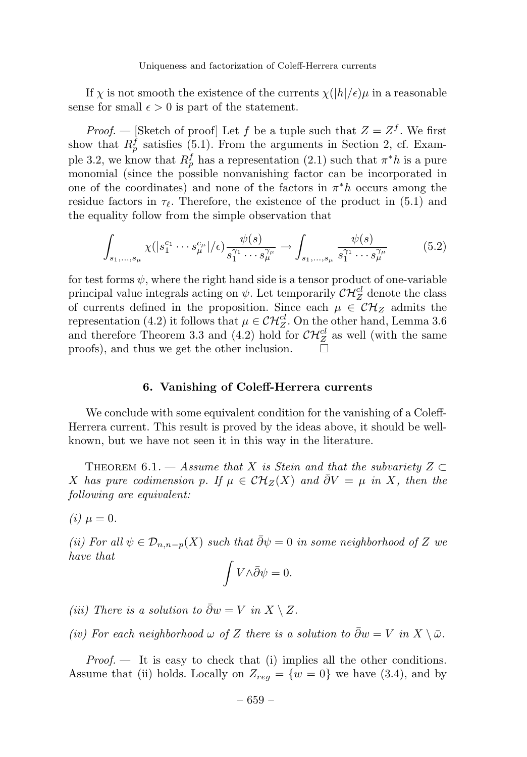If  $\chi$  is not smooth the existence of the currents  $\chi(|h|/\epsilon)\mu$  in a reasonable sense for small  $\epsilon > 0$  is part of the statement.

*Proof.* — [Sketch of proof] Let f be a tuple such that  $Z = Z<sup>f</sup>$ . We first show that  $R_p^f$  satisfies (5.1). From the arguments in Section 2, cf. Example 3.2, we know that  $R_p^f$  has a representation (2.1) such that  $\pi^*h$  is a pure monomial (since the possible nonvanishing factor can be incorporated in one of the coordinates) and none of the factors in  $\pi^*h$  occurs among the residue factors in  $\tau_{\ell}$ . Therefore, the existence of the product in (5.1) and the equality follow from the simple observation that

$$
\int_{s_1,\dots,s_{\mu}} \chi(|s_1^{c_1}\cdots s_{\mu}^{c_{\mu}}|/\epsilon) \frac{\psi(s)}{s_1^{\gamma_1}\cdots s_{\mu}^{\gamma_{\mu}}} \to \int_{s_1,\dots,s_{\mu}} \frac{\psi(s)}{s_1^{\gamma_1}\cdots s_{\mu}^{\gamma_{\mu}}} \tag{5.2}
$$

for test forms  $\psi$ , where the right hand side is a tensor product of one-variable principal value integrals acting on  $\psi$ . Let temporarily  $\mathcal{CH}_Z^{cl}$  denote the class of currents defined in the proposition. Since each  $\mu \in \mathcal{CH}_Z$  admits the representation (4.2) it follows that  $\mu \in \mathcal{CH}_Z^{cl}$ . On the other hand, Lemma 3.6 and therefore Theorem 3.3 and (4.2) hold for  $\mathcal{CH}_Z^{cl}$  as well (with the same proofs), and thus we get the other inclusion.  $\Box$ 

#### **6. Vanishing of Coleff-Herrera currents**

We conclude with some equivalent condition for the vanishing of a Coleff-Herrera current. This result is proved by the ideas above, it should be wellknown, but we have not seen it in this way in the literature.

THEOREM 6.1. — Assume that X is Stein and that the subvariety  $Z \subset$ X has pure codimension p. If  $\mu \in \mathcal{CH}_Z(X)$  and  $\overline{\partial}V = \mu$  in X, then the following are equivalent:

(*i*)  $\mu = 0$ .

(ii) For all  $\psi \in \mathcal{D}_{n,n-p}(X)$  such that  $\bar{\partial}\psi = 0$  in some neighborhood of Z we have that

$$
\int V \wedge \bar{\partial}\psi = 0.
$$

(iii) There is a solution to  $\bar{\partial}w = V$  in  $X \setminus Z$ .

(iv) For each neighborhood  $\omega$  of Z there is a solution to  $\bar{\partial}w = V$  in  $X \setminus \bar{\omega}$ .

 $Proof.$  It is easy to check that (i) implies all the other conditions. Assume that (ii) holds. Locally on  $Z_{reg} = \{w = 0\}$  we have (3.4), and by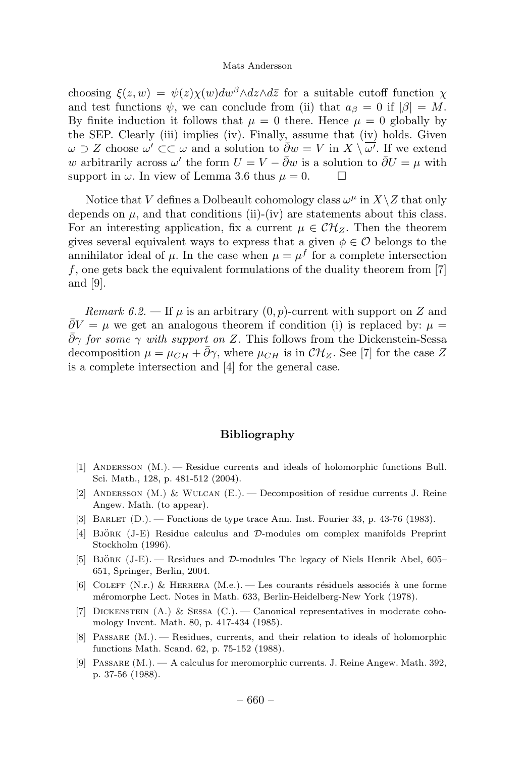choosing  $\xi(z, w) = \psi(z)\chi(w)dw^{\beta} \wedge dz \wedge d\overline{z}$  for a suitable cutoff function  $\chi$ and test functions  $\psi$ , we can conclude from (ii) that  $a_{\beta} = 0$  if  $|\beta| = M$ . By finite induction it follows that  $\mu = 0$  there. Hence  $\mu = 0$  globally by the SEP. Clearly (iii) implies (iv). Finally, assume that (iv) holds. Given  $\omega \supset Z$  choose  $\omega' \subset \subset \omega$  and a solution to  $\bar{\partial}w = V$  in  $X \setminus \overline{\omega'}$ . If we extend w arbitrarily across  $\omega'$  the form  $U = V - \overline{\partial}w$  is a solution to  $\overline{\partial}U = \mu$  with support in  $\omega$ . In view of Lemma 3.6 thus  $\mu = 0$ .  $\Box$ 

Notice that V defines a Dolbeault cohomology class  $\omega^{\mu}$  in  $X\setminus Z$  that only depends on  $\mu$ , and that conditions (ii)-(iv) are statements about this class. For an interesting application, fix a current  $\mu \in \mathcal{CH}_Z$ . Then the theorem gives several equivalent ways to express that a given  $\phi \in \mathcal{O}$  belongs to the annihilator ideal of  $\mu$ . In the case when  $\mu = \mu^f$  for a complete intersection  $f$ , one gets back the equivalent formulations of the duality theorem from  $[7]$ and [9].

Remark 6.2. — If  $\mu$  is an arbitrary  $(0, p)$ -current with support on Z and  $\partial V = \mu$  we get an analogous theorem if condition (i) is replaced by:  $\mu =$  $\bar{\partial}\gamma$  for some  $\gamma$  with support on Z. This follows from the Dickenstein-Sessa decomposition  $\mu = \mu_{CH} + \bar{\partial}\gamma$ , where  $\mu_{CH}$  is in  $\mathcal{CH}_Z$ . See [7] for the case Z is a complete intersection and [4] for the general case.

#### **Bibliography**

- [1] Andersson (M.). —Residue currents and ideals of holomorphic functions Bull. Sci. Math., 128, p. 481-512 (2004).
- [2] ANDERSSON  $(M.)$  & WULCAN  $(E.)$  Decomposition of residue currents J. Reine Angew. Math. (to appear).
- [3] Barlet (D.). —Fonctions de type trace Ann. Inst. Fourier 33, p. 43-76 (1983).
- [4] BJÖRK  $(J-E)$  Residue calculus and  $D$ -modules om complex manifolds Preprint Stockholm (1996).
- [5] BJÖRK (J-E). Residues and  $\mathcal{D}\text{-modules}$  The legacy of Niels Henrik Abel, 605– 651, Springer, Berlin, 2004.
- [6] COLEFF (N.r.) & HERRERA (M.e.). Les courants résiduels associés à une forme m´eromorphe Lect. Notes in Math. 633, Berlin-Heidelberg-New York (1978).
- [7] Dickenstein (A.) & Sessa (C.). —Canonical representatives in moderate cohomology Invent. Math. 80, p. 417-434 (1985).
- [8] PASSARE (M.). Residues, currents, and their relation to ideals of holomorphic functions Math. Scand. 62, p. 75-152 (1988).
- [9] Passare (M.). —A calculus for meromorphic currents. J. Reine Angew. Math. 392, p. 37-56 (1988).